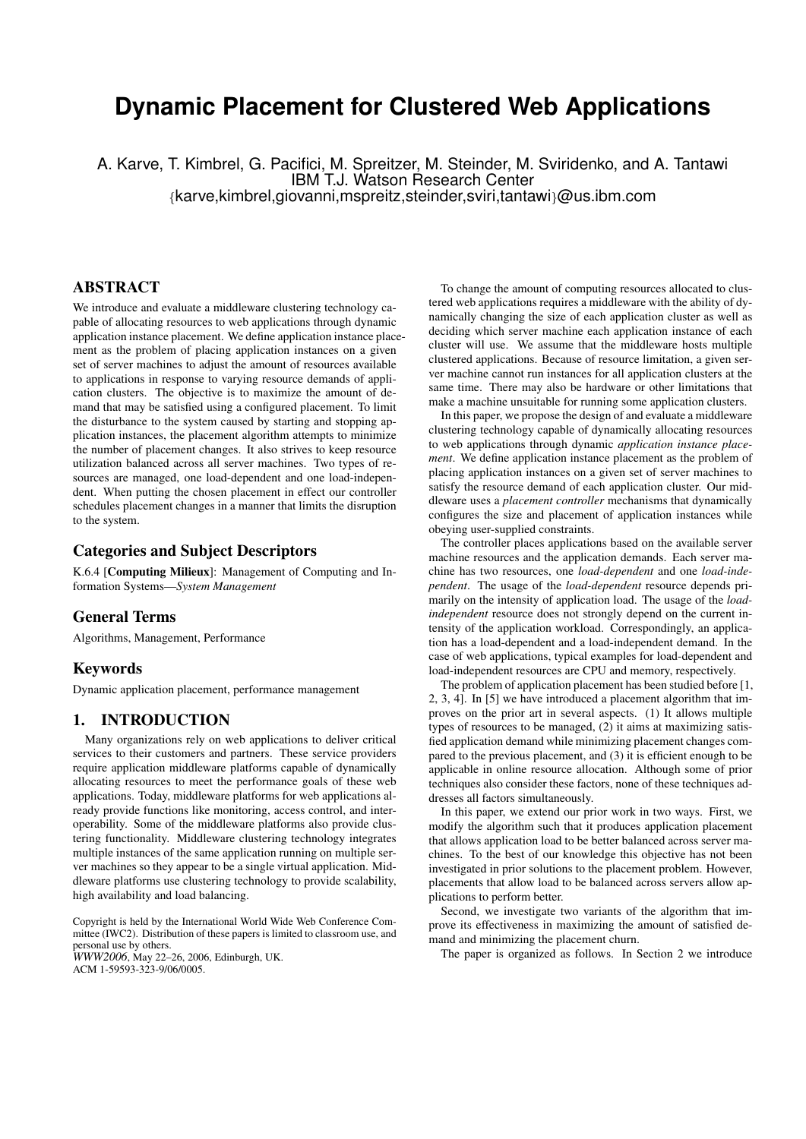# **Dynamic Placement for Clustered Web Applications**

A. Karve, T. Kimbrel, G. Pacifici, M. Spreitzer, M. Steinder, M. Sviridenko, and A. Tantawi IBM T.J. Watson Research Center {karve,kimbrel,giovanni,mspreitz,steinder,sviri,tantawi}@us.ibm.com

# ABSTRACT

We introduce and evaluate a middleware clustering technology capable of allocating resources to web applications through dynamic application instance placement. We define application instance placement as the problem of placing application instances on a given set of server machines to adjust the amount of resources available to applications in response to varying resource demands of application clusters. The objective is to maximize the amount of demand that may be satisfied using a configured placement. To limit the disturbance to the system caused by starting and stopping application instances, the placement algorithm attempts to minimize the number of placement changes. It also strives to keep resource utilization balanced across all server machines. Two types of resources are managed, one load-dependent and one load-independent. When putting the chosen placement in effect our controller schedules placement changes in a manner that limits the disruption to the system.

## Categories and Subject Descriptors

K.6.4 [Computing Milieux]: Management of Computing and Information Systems—*System Management*

### General Terms

Algorithms, Management, Performance

### Keywords

Dynamic application placement, performance management

# 1. INTRODUCTION

Many organizations rely on web applications to deliver critical services to their customers and partners. These service providers require application middleware platforms capable of dynamically allocating resources to meet the performance goals of these web applications. Today, middleware platforms for web applications already provide functions like monitoring, access control, and interoperability. Some of the middleware platforms also provide clustering functionality. Middleware clustering technology integrates multiple instances of the same application running on multiple server machines so they appear to be a single virtual application. Middleware platforms use clustering technology to provide scalability, high availability and load balancing.

Copyright is held by the International World Wide Web Conference Committee (IWC2). Distribution of these papers is limited to classroom use, and personal use by others.

*WWW2006*, May 22–26, 2006, Edinburgh, UK. ACM 1-59593-323-9/06/0005.

To change the amount of computing resources allocated to clustered web applications requires a middleware with the ability of dynamically changing the size of each application cluster as well as deciding which server machine each application instance of each cluster will use. We assume that the middleware hosts multiple clustered applications. Because of resource limitation, a given server machine cannot run instances for all application clusters at the same time. There may also be hardware or other limitations that make a machine unsuitable for running some application clusters.

In this paper, we propose the design of and evaluate a middleware clustering technology capable of dynamically allocating resources to web applications through dynamic *application instance placement*. We define application instance placement as the problem of placing application instances on a given set of server machines to satisfy the resource demand of each application cluster. Our middleware uses a *placement controller* mechanisms that dynamically configures the size and placement of application instances while obeying user-supplied constraints.

The controller places applications based on the available server machine resources and the application demands. Each server machine has two resources, one *load-dependent* and one *load-independent*. The usage of the *load-dependent* resource depends primarily on the intensity of application load. The usage of the *loadindependent* resource does not strongly depend on the current intensity of the application workload. Correspondingly, an application has a load-dependent and a load-independent demand. In the case of web applications, typical examples for load-dependent and load-independent resources are CPU and memory, respectively.

The problem of application placement has been studied before [1, 2, 3, 4]. In [5] we have introduced a placement algorithm that improves on the prior art in several aspects. (1) It allows multiple types of resources to be managed, (2) it aims at maximizing satisfied application demand while minimizing placement changes compared to the previous placement, and (3) it is efficient enough to be applicable in online resource allocation. Although some of prior techniques also consider these factors, none of these techniques addresses all factors simultaneously.

In this paper, we extend our prior work in two ways. First, we modify the algorithm such that it produces application placement that allows application load to be better balanced across server machines. To the best of our knowledge this objective has not been investigated in prior solutions to the placement problem. However, placements that allow load to be balanced across servers allow applications to perform better.

Second, we investigate two variants of the algorithm that improve its effectiveness in maximizing the amount of satisfied demand and minimizing the placement churn.

The paper is organized as follows. In Section 2 we introduce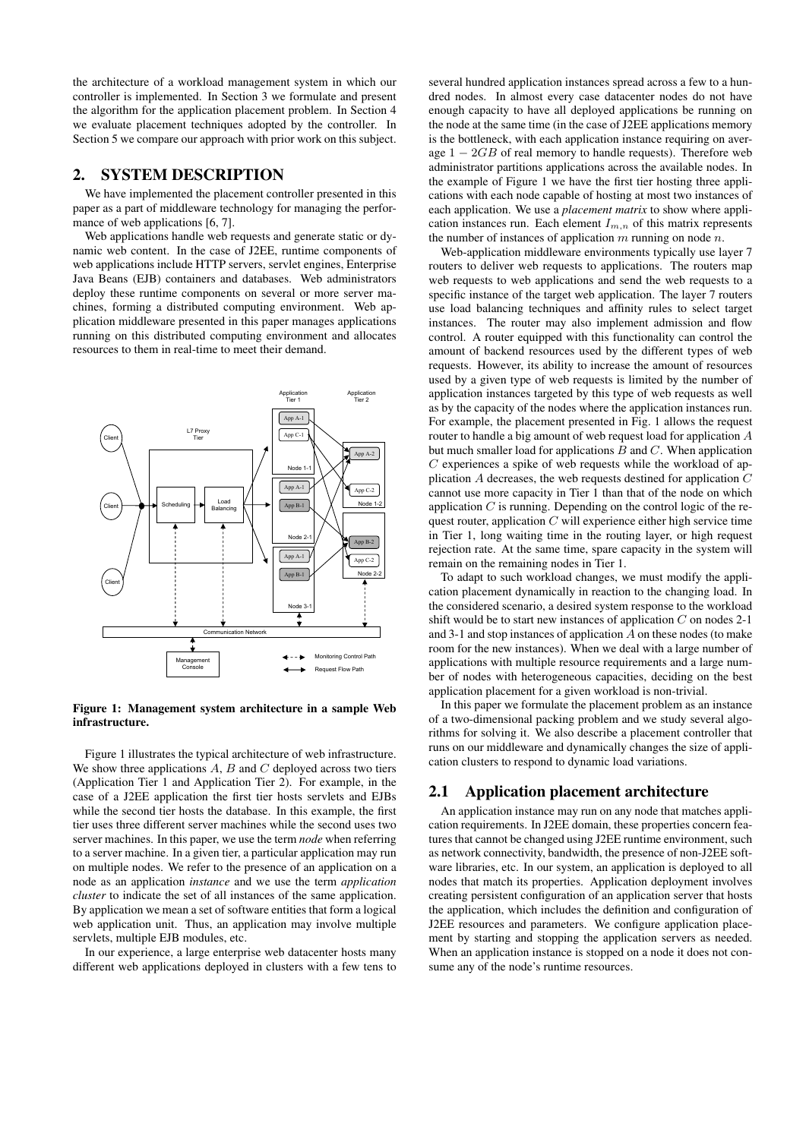the architecture of a workload management system in which our controller is implemented. In Section 3 we formulate and present the algorithm for the application placement problem. In Section 4 we evaluate placement techniques adopted by the controller. In Section 5 we compare our approach with prior work on this subject.

# 2. SYSTEM DESCRIPTION

We have implemented the placement controller presented in this paper as a part of middleware technology for managing the performance of web applications [6, 7].

Web applications handle web requests and generate static or dynamic web content. In the case of J2EE, runtime components of web applications include HTTP servers, servlet engines, Enterprise Java Beans (EJB) containers and databases. Web administrators deploy these runtime components on several or more server machines, forming a distributed computing environment. Web application middleware presented in this paper manages applications running on this distributed computing environment and allocates resources to them in real-time to meet their demand.



Figure 1: Management system architecture in a sample Web infrastructure.

Figure 1 illustrates the typical architecture of web infrastructure. We show three applications  $A$ ,  $B$  and  $C$  deployed across two tiers (Application Tier 1 and Application Tier 2). For example, in the case of a J2EE application the first tier hosts servlets and EJBs while the second tier hosts the database. In this example, the first tier uses three different server machines while the second uses two server machines. In this paper, we use the term *node* when referring to a server machine. In a given tier, a particular application may run on multiple nodes. We refer to the presence of an application on a node as an application *instance* and we use the term *application cluster* to indicate the set of all instances of the same application. By application we mean a set of software entities that form a logical web application unit. Thus, an application may involve multiple servlets, multiple EJB modules, etc.

In our experience, a large enterprise web datacenter hosts many different web applications deployed in clusters with a few tens to

several hundred application instances spread across a few to a hundred nodes. In almost every case datacenter nodes do not have enough capacity to have all deployed applications be running on the node at the same time (in the case of J2EE applications memory is the bottleneck, with each application instance requiring on average  $1 - 2GB$  of real memory to handle requests). Therefore web administrator partitions applications across the available nodes. In the example of Figure 1 we have the first tier hosting three applications with each node capable of hosting at most two instances of each application. We use a *placement matrix* to show where application instances run. Each element  $I_{m,n}$  of this matrix represents the number of instances of application  $m$  running on node  $n$ .

Web-application middleware environments typically use layer 7 routers to deliver web requests to applications. The routers map web requests to web applications and send the web requests to a specific instance of the target web application. The layer 7 routers use load balancing techniques and affinity rules to select target instances. The router may also implement admission and flow control. A router equipped with this functionality can control the amount of backend resources used by the different types of web requests. However, its ability to increase the amount of resources used by a given type of web requests is limited by the number of application instances targeted by this type of web requests as well as by the capacity of the nodes where the application instances run. For example, the placement presented in Fig. 1 allows the request router to handle a big amount of web request load for application A but much smaller load for applications  $B$  and  $C$ . When application  $C$  experiences a spike of web requests while the workload of application A decreases, the web requests destined for application C cannot use more capacity in Tier 1 than that of the node on which application  $C$  is running. Depending on the control logic of the request router, application C will experience either high service time in Tier 1, long waiting time in the routing layer, or high request rejection rate. At the same time, spare capacity in the system will remain on the remaining nodes in Tier 1.

To adapt to such workload changes, we must modify the application placement dynamically in reaction to the changing load. In the considered scenario, a desired system response to the workload shift would be to start new instances of application  $C$  on nodes 2-1 and 3-1 and stop instances of application A on these nodes (to make room for the new instances). When we deal with a large number of applications with multiple resource requirements and a large number of nodes with heterogeneous capacities, deciding on the best application placement for a given workload is non-trivial.

In this paper we formulate the placement problem as an instance of a two-dimensional packing problem and we study several algorithms for solving it. We also describe a placement controller that runs on our middleware and dynamically changes the size of application clusters to respond to dynamic load variations.

# 2.1 Application placement architecture

An application instance may run on any node that matches application requirements. In J2EE domain, these properties concern features that cannot be changed using J2EE runtime environment, such as network connectivity, bandwidth, the presence of non-J2EE software libraries, etc. In our system, an application is deployed to all nodes that match its properties. Application deployment involves creating persistent configuration of an application server that hosts the application, which includes the definition and configuration of J2EE resources and parameters. We configure application placement by starting and stopping the application servers as needed. When an application instance is stopped on a node it does not consume any of the node's runtime resources.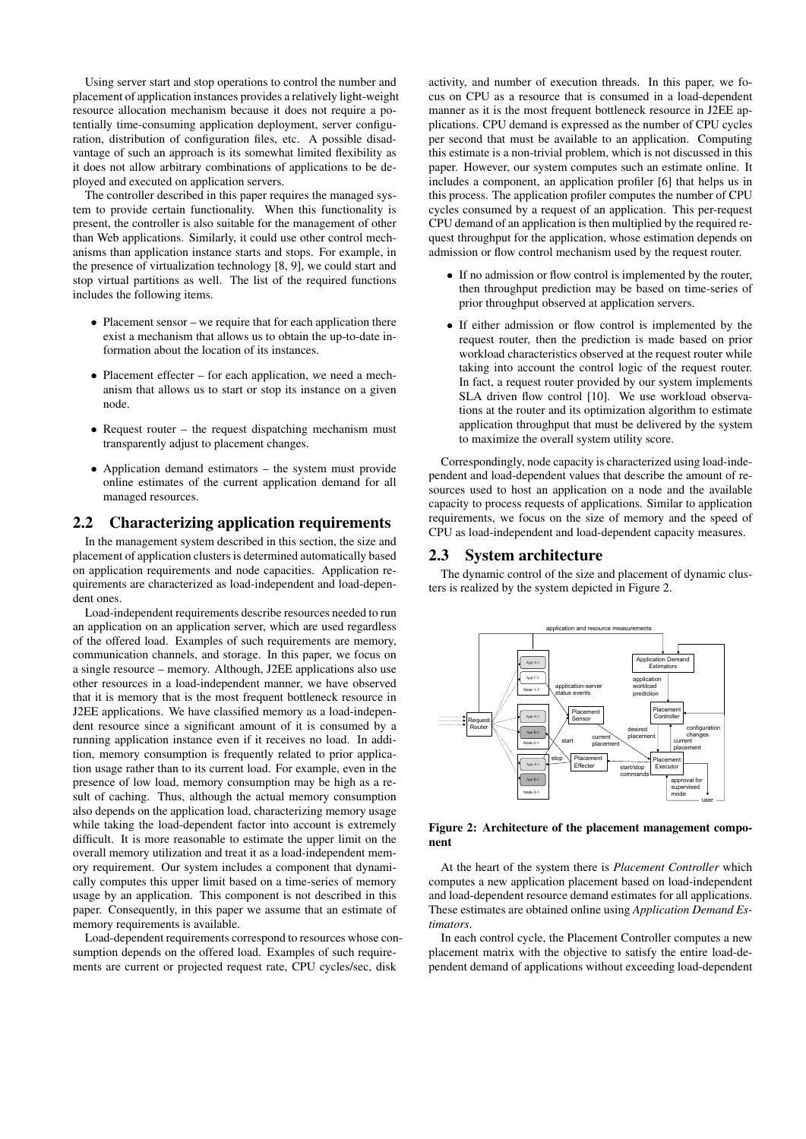Using server start and stop operations to control the number and placement of application instances provides a relatively light-weight resource allocation mechanism because it does not require a potentially time-consuming application deployment, server configuration, distribution of configuration files, etc. A possible disadvantage of such an approach is its somewhat limited flexibility as it does not allow arbitrary combinations of applications to be deployed and executed on application servers.

The controller described in this paper requires the managed system to provide certain functionality. When this functionality is present, the controller is also suitable for the management of other than Web applications. Similarly, it could use other control mechanisms than application instance starts and stops. For example, in the presence of virtualization technology [8, 9], we could start and stop virtual partitions as well. The list of the required functions includes the following items.

- Placement sensor we require that for each application there exist a mechanism that allows us to obtain the up-to-date information about the location of its instances.
- Placement effecter for each application, we need a mechanism that allows us to start or stop its instance on a given node.
- Request router the request dispatching mechanism must transparently adjust to placement changes.
- Application demand estimators the system must provide online estimates of the current application demand for all managed resources.

## 2.2 Characterizing application requirements

In the management system described in this section, the size and placement of application clusters is determined automatically based on application requirements and node capacities. Application requirements are characterized as load-independent and load-dependent ones.

Load-independent requirements describe resources needed to run an application on an application server, which are used regardless of the offered load. Examples of such requirements are memory, communication channels, and storage. In this paper, we focus on a single resource – memory. Although, J2EE applications also use other resources in a load-independent manner, we have observed that it is memory that is the most frequent bottleneck resource in J2EE applications. We have classified memory as a load-independent resource since a significant amount of it is consumed by a running application instance even if it receives no load. In addition, memory consumption is frequently related to prior application usage rather than to its current load. For example, even in the presence of low load, memory consumption may be high as a result of caching. Thus, although the actual memory consumption also depends on the application load, characterizing memory usage while taking the load-dependent factor into account is extremely difficult. It is more reasonable to estimate the upper limit on the overall memory utilization and treat it as a load-independent memory requirement. Our system includes a component that dynamically computes this upper limit based on a time-series of memory usage by an application. This component is not described in this paper. Consequently, in this paper we assume that an estimate of memory requirements is available.

Load-dependent requirements correspond to resources whose consumption depends on the offered load. Examples of such requirements are current or projected request rate, CPU cycles/sec, disk

activity, and number of execution threads. In this paper, we focus on CPU as a resource that is consumed in a load-dependent manner as it is the most frequent bottleneck resource in J2EE applications. CPU demand is expressed as the number of CPU cycles per second that must be available to an application. Computing this estimate is a non-trivial problem, which is not discussed in this paper. However, our system computes such an estimate online. It includes a component, an application profiler [6] that helps us in this process. The application profiler computes the number of CPU cycles consumed by a request of an application. This per-request CPU demand of an application is then multiplied by the required request throughput for the application, whose estimation depends on admission or flow control mechanism used by the request router.

- If no admission or flow control is implemented by the router, then throughput prediction may be based on time-series of prior throughput observed at application servers.
- If either admission or flow control is implemented by the request router, then the prediction is made based on prior workload characteristics observed at the request router while taking into account the control logic of the request router. In fact, a request router provided by our system implements SLA driven flow control [10]. We use workload observations at the router and its optimization algorithm to estimate application throughput that must be delivered by the system to maximize the overall system utility score.

Correspondingly, node capacity is characterized using load-independent and load-dependent values that describe the amount of resources used to host an application on a node and the available capacity to process requests of applications. Similar to application requirements, we focus on the size of memory and the speed of CPU as load-independent and load-dependent capacity measures.

### 2.3 System architecture

The dynamic control of the size and placement of dynamic clusters is realized by the system depicted in Figure 2.



Figure 2: Architecture of the placement management component

At the heart of the system there is *Placement Controller* which computes a new application placement based on load-independent and load-dependent resource demand estimates for all applications. These estimates are obtained online using *Application Demand Estimators*.

In each control cycle, the Placement Controller computes a new placement matrix with the objective to satisfy the entire load-dependent demand of applications without exceeding load-dependent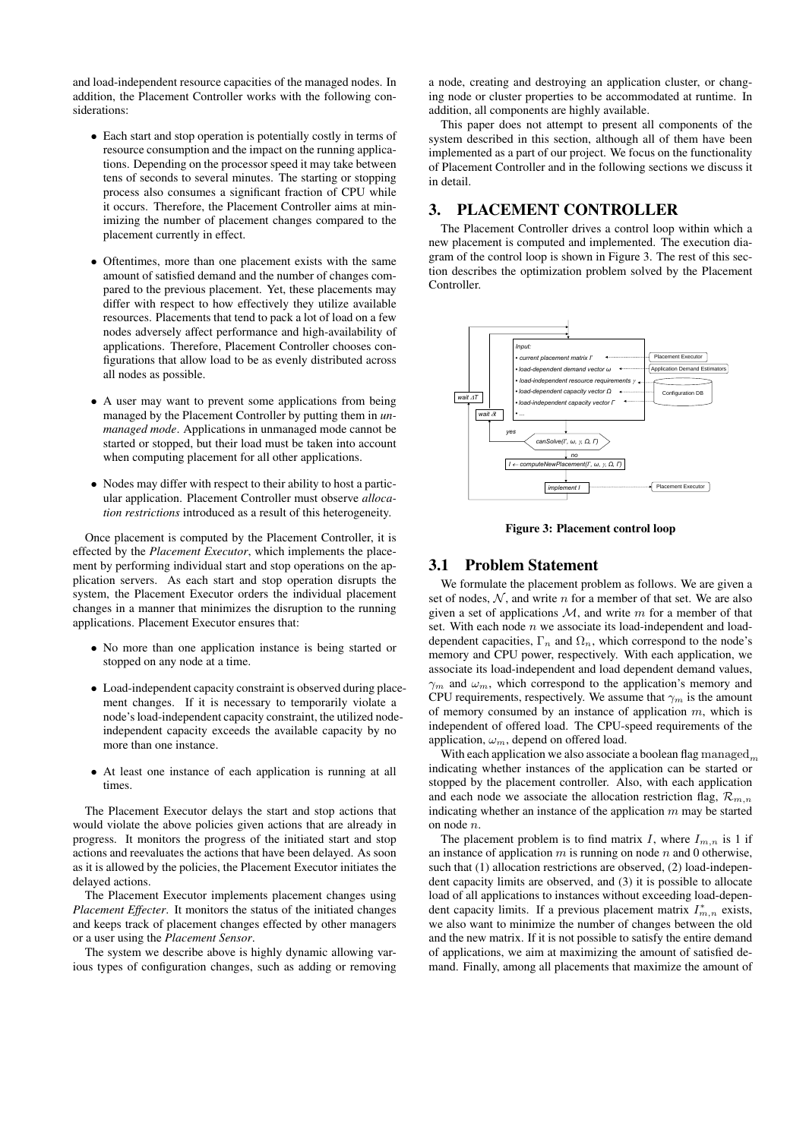and load-independent resource capacities of the managed nodes. In addition, the Placement Controller works with the following considerations:

- Each start and stop operation is potentially costly in terms of resource consumption and the impact on the running applications. Depending on the processor speed it may take between tens of seconds to several minutes. The starting or stopping process also consumes a significant fraction of CPU while it occurs. Therefore, the Placement Controller aims at minimizing the number of placement changes compared to the placement currently in effect.
- Oftentimes, more than one placement exists with the same amount of satisfied demand and the number of changes compared to the previous placement. Yet, these placements may differ with respect to how effectively they utilize available resources. Placements that tend to pack a lot of load on a few nodes adversely affect performance and high-availability of applications. Therefore, Placement Controller chooses configurations that allow load to be as evenly distributed across all nodes as possible.
- A user may want to prevent some applications from being managed by the Placement Controller by putting them in *unmanaged mode*. Applications in unmanaged mode cannot be started or stopped, but their load must be taken into account when computing placement for all other applications.
- Nodes may differ with respect to their ability to host a particular application. Placement Controller must observe *allocation restrictions* introduced as a result of this heterogeneity.

Once placement is computed by the Placement Controller, it is effected by the *Placement Executor*, which implements the placement by performing individual start and stop operations on the application servers. As each start and stop operation disrupts the system, the Placement Executor orders the individual placement changes in a manner that minimizes the disruption to the running applications. Placement Executor ensures that:

- No more than one application instance is being started or stopped on any node at a time.
- Load-independent capacity constraint is observed during placement changes. If it is necessary to temporarily violate a node's load-independent capacity constraint, the utilized nodeindependent capacity exceeds the available capacity by no more than one instance.
- At least one instance of each application is running at all times.

The Placement Executor delays the start and stop actions that would violate the above policies given actions that are already in progress. It monitors the progress of the initiated start and stop actions and reevaluates the actions that have been delayed. As soon as it is allowed by the policies, the Placement Executor initiates the delayed actions.

The Placement Executor implements placement changes using *Placement Effecter*. It monitors the status of the initiated changes and keeps track of placement changes effected by other managers or a user using the *Placement Sensor*.

The system we describe above is highly dynamic allowing various types of configuration changes, such as adding or removing

a node, creating and destroying an application cluster, or changing node or cluster properties to be accommodated at runtime. In addition, all components are highly available.

This paper does not attempt to present all components of the system described in this section, although all of them have been implemented as a part of our project. We focus on the functionality of Placement Controller and in the following sections we discuss it in detail.

# 3. PLACEMENT CONTROLLER

The Placement Controller drives a control loop within which a new placement is computed and implemented. The execution diagram of the control loop is shown in Figure 3. The rest of this section describes the optimization problem solved by the Placement Controller.



Figure 3: Placement control loop

## 3.1 Problem Statement

We formulate the placement problem as follows. We are given a set of nodes,  $N$ , and write  $n$  for a member of that set. We are also given a set of applications  $M$ , and write m for a member of that set. With each node  $n$  we associate its load-independent and loaddependent capacities,  $\Gamma_n$  and  $\Omega_n$ , which correspond to the node's memory and CPU power, respectively. With each application, we associate its load-independent and load dependent demand values,  $\gamma_m$  and  $\omega_m$ , which correspond to the application's memory and CPU requirements, respectively. We assume that  $\gamma_m$  is the amount of memory consumed by an instance of application  $m$ , which is independent of offered load. The CPU-speed requirements of the application,  $\omega_m$ , depend on offered load.

With each application we also associate a boolean flag  $\mathrm{m}$  and  $\mathrm{m}$ indicating whether instances of the application can be started or stopped by the placement controller. Also, with each application and each node we associate the allocation restriction flag,  $\mathcal{R}_{m,n}$ indicating whether an instance of the application  $m$  may be started on node n.

The placement problem is to find matrix I, where  $I_{m,n}$  is 1 if an instance of application  $m$  is running on node  $n$  and 0 otherwise, such that (1) allocation restrictions are observed, (2) load-independent capacity limits are observed, and (3) it is possible to allocate load of all applications to instances without exceeding load-dependent capacity limits. If a previous placement matrix  $I_{m,n}^*$  exists, we also want to minimize the number of changes between the old and the new matrix. If it is not possible to satisfy the entire demand of applications, we aim at maximizing the amount of satisfied demand. Finally, among all placements that maximize the amount of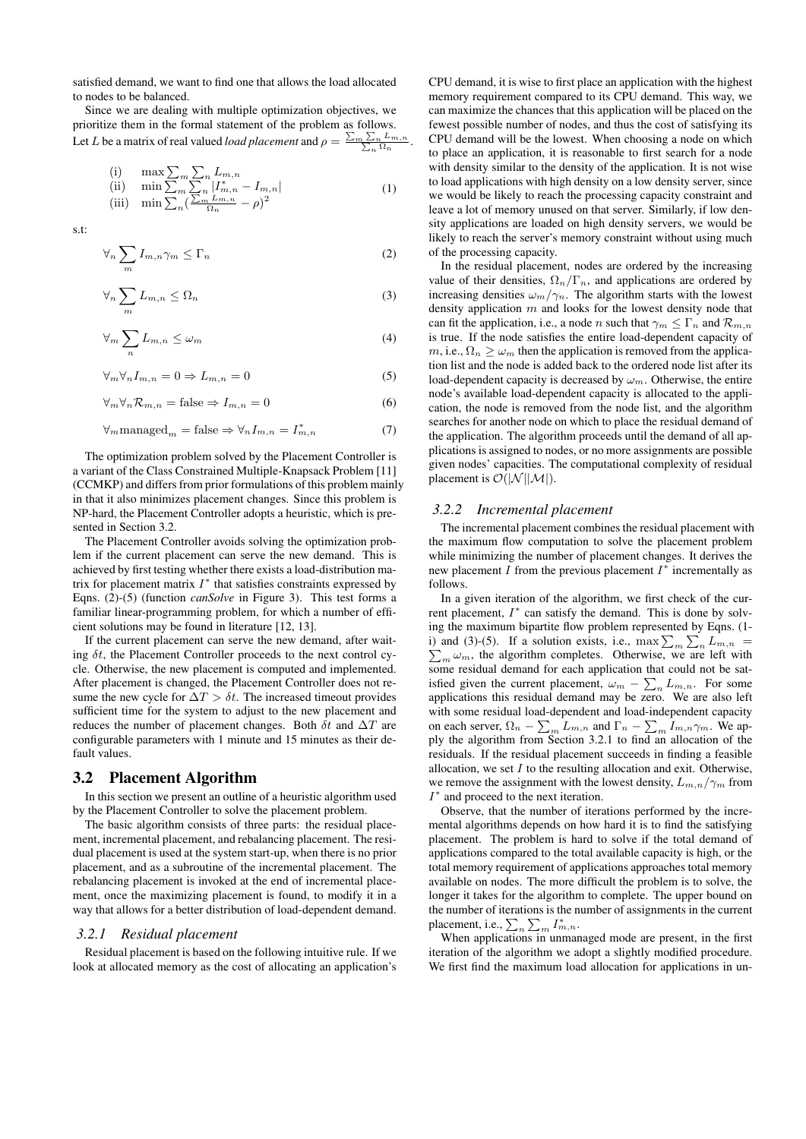satisfied demand, we want to find one that allows the load allocated to nodes to be balanced.

Since we are dealing with multiple optimization objectives, we prioritize them in the formal statement of the problem as follows. Let L be a matrix of real valued *load placement* and  $\rho = \frac{\sum_m \sum_n L_{m,n}}{\sum_n \Omega_n}$ .

(i) 
$$
\begin{array}{ll}\n\text{(i)} & \max \sum_{m} \sum_{n} L_{m,n} \\
\text{(ii)} & \min \sum_{m} \sum_{n} |I_{m,n}^{*} - I_{m,n}| \\
\text{(iii)} & \min \sum_{n} \left( \frac{\sum_{m} L_{m,n}}{\Omega_{n}} - \rho \right)^{2}\n\end{array} \tag{1}
$$

s.t:

$$
\forall_n \sum_m I_{m,n} \gamma_m \leq \Gamma_n \tag{2}
$$

$$
\forall_n \sum_m L_{m,n} \le \Omega_n \tag{3}
$$

$$
\forall_m \sum_n L_{m,n} \le \omega_m \tag{4}
$$

$$
\forall_m \forall_n I_{m,n} = 0 \Rightarrow L_{m,n} = 0 \tag{5}
$$

$$
\forall_m \forall_n \mathcal{R}_{m,n} = \text{false} \Rightarrow I_{m,n} = 0 \tag{6}
$$

$$
\forall_{m} \text{managed}_{m} = \text{false} \Rightarrow \forall_{n} I_{m,n} = I_{m,n}^{*} \tag{7}
$$

The optimization problem solved by the Placement Controller is a variant of the Class Constrained Multiple-Knapsack Problem [11] (CCMKP) and differs from prior formulations of this problem mainly in that it also minimizes placement changes. Since this problem is NP-hard, the Placement Controller adopts a heuristic, which is presented in Section 3.2.

The Placement Controller avoids solving the optimization problem if the current placement can serve the new demand. This is achieved by first testing whether there exists a load-distribution matrix for placement matrix  $I^*$  that satisfies constraints expressed by Eqns. (2)-(5) (function *canSolve* in Figure 3). This test forms a familiar linear-programming problem, for which a number of efficient solutions may be found in literature [12, 13].

If the current placement can serve the new demand, after waiting  $\delta t$ , the Placement Controller proceeds to the next control cycle. Otherwise, the new placement is computed and implemented. After placement is changed, the Placement Controller does not resume the new cycle for  $\Delta T > \delta t$ . The increased timeout provides sufficient time for the system to adjust to the new placement and reduces the number of placement changes. Both  $\delta t$  and  $\Delta T$  are configurable parameters with 1 minute and 15 minutes as their default values.

### 3.2 Placement Algorithm

In this section we present an outline of a heuristic algorithm used by the Placement Controller to solve the placement problem.

The basic algorithm consists of three parts: the residual placement, incremental placement, and rebalancing placement. The residual placement is used at the system start-up, when there is no prior placement, and as a subroutine of the incremental placement. The rebalancing placement is invoked at the end of incremental placement, once the maximizing placement is found, to modify it in a way that allows for a better distribution of load-dependent demand.

### *3.2.1 Residual placement*

Residual placement is based on the following intuitive rule. If we look at allocated memory as the cost of allocating an application's

CPU demand, it is wise to first place an application with the highest memory requirement compared to its CPU demand. This way, we can maximize the chances that this application will be placed on the fewest possible number of nodes, and thus the cost of satisfying its CPU demand will be the lowest. When choosing a node on which to place an application, it is reasonable to first search for a node with density similar to the density of the application. It is not wise to load applications with high density on a low density server, since we would be likely to reach the processing capacity constraint and leave a lot of memory unused on that server. Similarly, if low density applications are loaded on high density servers, we would be likely to reach the server's memory constraint without using much of the processing capacity.

In the residual placement, nodes are ordered by the increasing value of their densities,  $\Omega_n/\Gamma_n$ , and applications are ordered by increasing densities  $\omega_m/\gamma_n$ . The algorithm starts with the lowest density application  $m$  and looks for the lowest density node that can fit the application, i.e., a node n such that  $\gamma_m \leq \Gamma_n$  and  $\mathcal{R}_{m,n}$ is true. If the node satisfies the entire load-dependent capacity of  $m$ , i.e.,  $\Omega_n \geq \omega_m$  then the application is removed from the application list and the node is added back to the ordered node list after its load-dependent capacity is decreased by  $\omega_m$ . Otherwise, the entire node's available load-dependent capacity is allocated to the application, the node is removed from the node list, and the algorithm searches for another node on which to place the residual demand of the application. The algorithm proceeds until the demand of all applications is assigned to nodes, or no more assignments are possible given nodes' capacities. The computational complexity of residual placement is  $\mathcal{O}(|\mathcal{N}| |\mathcal{M}|)$ .

# *3.2.2 Incremental placement*

The incremental placement combines the residual placement with the maximum flow computation to solve the placement problem while minimizing the number of placement changes. It derives the new placement  $\overline{I}$  from the previous placement  $I^*$  incrementally as follows.

In a given iteration of the algorithm, we first check of the current placement,  $I^*$  can satisfy the demand. This is done by solving the maximum bipartite flow problem represented by Eqns. (1 i) and (3)-(5). If a solution exists, i.e.,  $\max \sum_{m} \sum_{n} L_{m,n} =$ <br> $\sum_{m} \omega_m$ , the algorithm completes. Otherwise, we are left with  $\sum_{m} \omega_m$ , the algorithm completes. Otherwise, we are left with some residual demand for each application that could not be satisfied given the current placement,  $\omega_m - \sum_n L_{m,n}$ . For some applications this residual demand may be zero. We are also left with some residual load-dependent and load-independent capacity on each server,  $\Omega_n - \sum_m L_{m,n}$  and  $\Gamma_n - \sum_m I_{m,n} \gamma_m$ . We apply the algorithm from Section 3.2.1 to find an allocation of the residuals. If the residual placement succeeds in finding a feasible allocation, we set  $I$  to the resulting allocation and exit. Otherwise, we remove the assignment with the lowest density,  $L_{m,n}/\gamma_m$  from  $I^*$  and proceed to the next iteration.

Observe, that the number of iterations performed by the incremental algorithms depends on how hard it is to find the satisfying placement. The problem is hard to solve if the total demand of applications compared to the total available capacity is high, or the total memory requirement of applications approaches total memory available on nodes. The more difficult the problem is to solve, the longer it takes for the algorithm to complete. The upper bound on the number of iterations is the number of assignments in the current placement, i.e.,  $\sum_{n} \sum_{m} I^{*}_{m,n}$ .

When applications in unmanaged mode are present, in the first iteration of the algorithm we adopt a slightly modified procedure. We first find the maximum load allocation for applications in un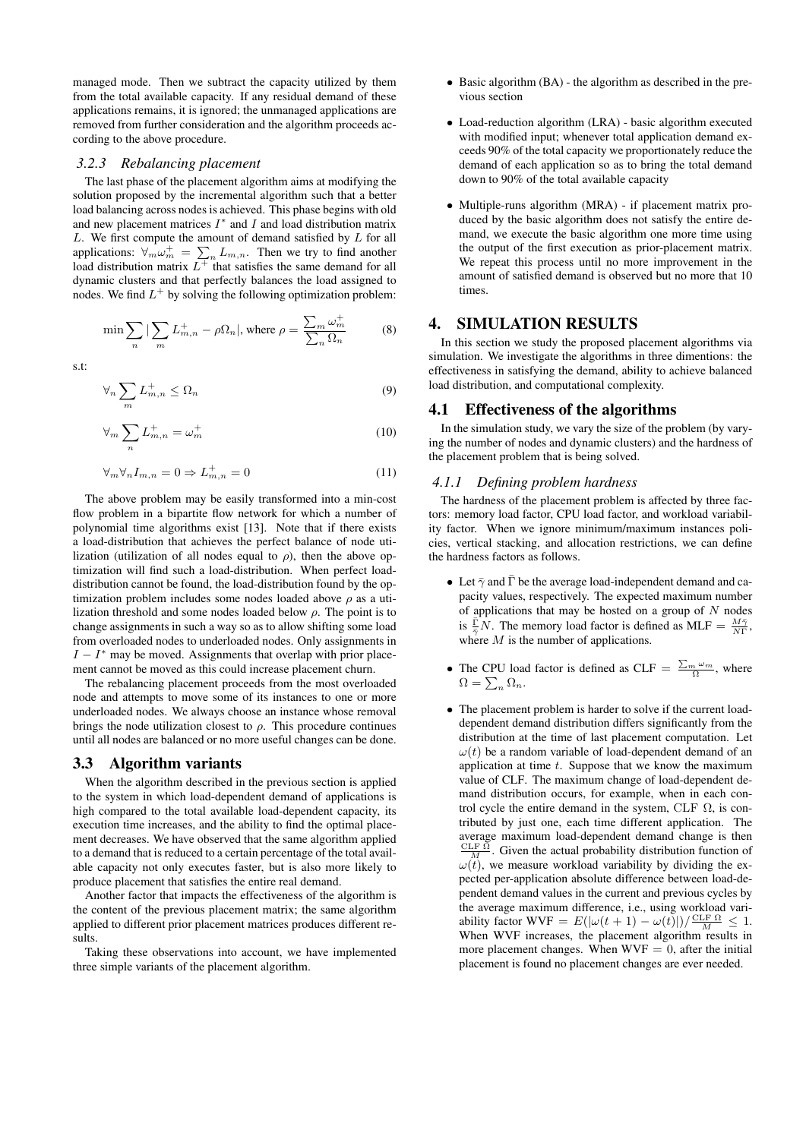managed mode. Then we subtract the capacity utilized by them from the total available capacity. If any residual demand of these applications remains, it is ignored; the unmanaged applications are removed from further consideration and the algorithm proceeds according to the above procedure.

### *3.2.3 Rebalancing placement*

The last phase of the placement algorithm aims at modifying the solution proposed by the incremental algorithm such that a better load balancing across nodes is achieved. This phase begins with old and new placement matrices  $I^*$  and  $I$  and load distribution matrix  $L$ . We first compute the amount of demand satisfied by  $L$  for all applications:  $\forall_m \omega_m^+ = \sum_n L_{m,n}$ . Then we try to find another load distribution matrix  $L^{\pm}$  that satisfies the same demand for all dynamic clusters and that perfectly balances the load assigned to nodes. We find  $L^+$  by solving the following optimization problem:

$$
\min \sum_{n} |\sum_{m} L_{m,n}^{+} - \rho \Omega_{n}|, \text{ where } \rho = \frac{\sum_{m} \omega_{m}^{+}}{\sum_{n} \Omega_{n}}
$$
(8)

s.t:

$$
\forall_n \sum_m L_{m,n}^+ \le \Omega_n \tag{9}
$$

$$
\forall_m \sum_n L_{m,n}^+ = \omega_m^+ \tag{10}
$$

$$
\forall_m \forall_n I_{m,n} = 0 \Rightarrow L_{m,n}^+ = 0 \tag{11}
$$

The above problem may be easily transformed into a min-cost flow problem in a bipartite flow network for which a number of polynomial time algorithms exist [13]. Note that if there exists a load-distribution that achieves the perfect balance of node utilization (utilization of all nodes equal to  $\rho$ ), then the above optimization will find such a load-distribution. When perfect loaddistribution cannot be found, the load-distribution found by the optimization problem includes some nodes loaded above  $\rho$  as a utilization threshold and some nodes loaded below  $\rho$ . The point is to change assignments in such a way so as to allow shifting some load from overloaded nodes to underloaded nodes. Only assignments in  $I - I^*$  may be moved. Assignments that overlap with prior placement cannot be moved as this could increase placement churn.

The rebalancing placement proceeds from the most overloaded node and attempts to move some of its instances to one or more underloaded nodes. We always choose an instance whose removal brings the node utilization closest to  $\rho$ . This procedure continues until all nodes are balanced or no more useful changes can be done.

# 3.3 Algorithm variants

When the algorithm described in the previous section is applied to the system in which load-dependent demand of applications is high compared to the total available load-dependent capacity, its execution time increases, and the ability to find the optimal placement decreases. We have observed that the same algorithm applied to a demand that is reduced to a certain percentage of the total available capacity not only executes faster, but is also more likely to produce placement that satisfies the entire real demand.

Another factor that impacts the effectiveness of the algorithm is the content of the previous placement matrix; the same algorithm applied to different prior placement matrices produces different results.

Taking these observations into account, we have implemented three simple variants of the placement algorithm.

- Basic algorithm (BA) the algorithm as described in the previous section
- Load-reduction algorithm (LRA) basic algorithm executed with modified input; whenever total application demand exceeds 90% of the total capacity we proportionately reduce the demand of each application so as to bring the total demand down to 90% of the total available capacity
- Multiple-runs algorithm (MRA) if placement matrix produced by the basic algorithm does not satisfy the entire demand, we execute the basic algorithm one more time using the output of the first execution as prior-placement matrix. We repeat this process until no more improvement in the amount of satisfied demand is observed but no more that 10 times.

### 4. SIMULATION RESULTS

In this section we study the proposed placement algorithms via simulation. We investigate the algorithms in three dimentions: the effectiveness in satisfying the demand, ability to achieve balanced load distribution, and computational complexity.

### 4.1 Effectiveness of the algorithms

In the simulation study, we vary the size of the problem (by varying the number of nodes and dynamic clusters) and the hardness of the placement problem that is being solved.

### *4.1.1 Defining problem hardness*

The hardness of the placement problem is affected by three factors: memory load factor, CPU load factor, and workload variability factor. When we ignore minimum/maximum instances policies, vertical stacking, and allocation restrictions, we can define the hardness factors as follows.

- Let  $\bar{\gamma}$  and  $\bar{\Gamma}$  be the average load-independent demand and capacity values, respectively. The expected maximum number of applications that may be hosted on a group of  $N$  nodes is  $\frac{\overline{\Gamma}}{2}N$ . The memory load factor is defined as MLF =  $\frac{M\overline{\gamma}}{N\Gamma}$ , where  $M$  is the number of applications.
- The CPU load factor is defined as CLF =  $\frac{\sum_{m} \omega_m}{\Omega}$ , where  $\Omega = \sum_{n} \Omega_n.$
- The placement problem is harder to solve if the current loaddependent demand distribution differs significantly from the distribution at the time of last placement computation. Let  $\omega(t)$  be a random variable of load-dependent demand of an application at time  $t$ . Suppose that we know the maximum value of CLF. The maximum change of load-dependent demand distribution occurs, for example, when in each control cycle the entire demand in the system, CLF  $Ω$ , is contributed by just one, each time different application. The average maximum load-dependent demand change is then  $\frac{\text{CLF }\Omega}{M}$ . Given the actual probability distribution function of  $\omega(t)$ , we measure workload variability by dividing the expected per-application absolute difference between load-dependent demand values in the current and previous cycles by the average maximum difference, i.e., using workload variability factor WVF =  $E(|\omega(t+1) - \omega(t)|)/\frac{\text{CLF }\Omega}{M} \leq 1$ . When WVF increases, the placement algorithm results in more placement changes. When  $WVF = 0$ , after the initial placement is found no placement changes are ever needed.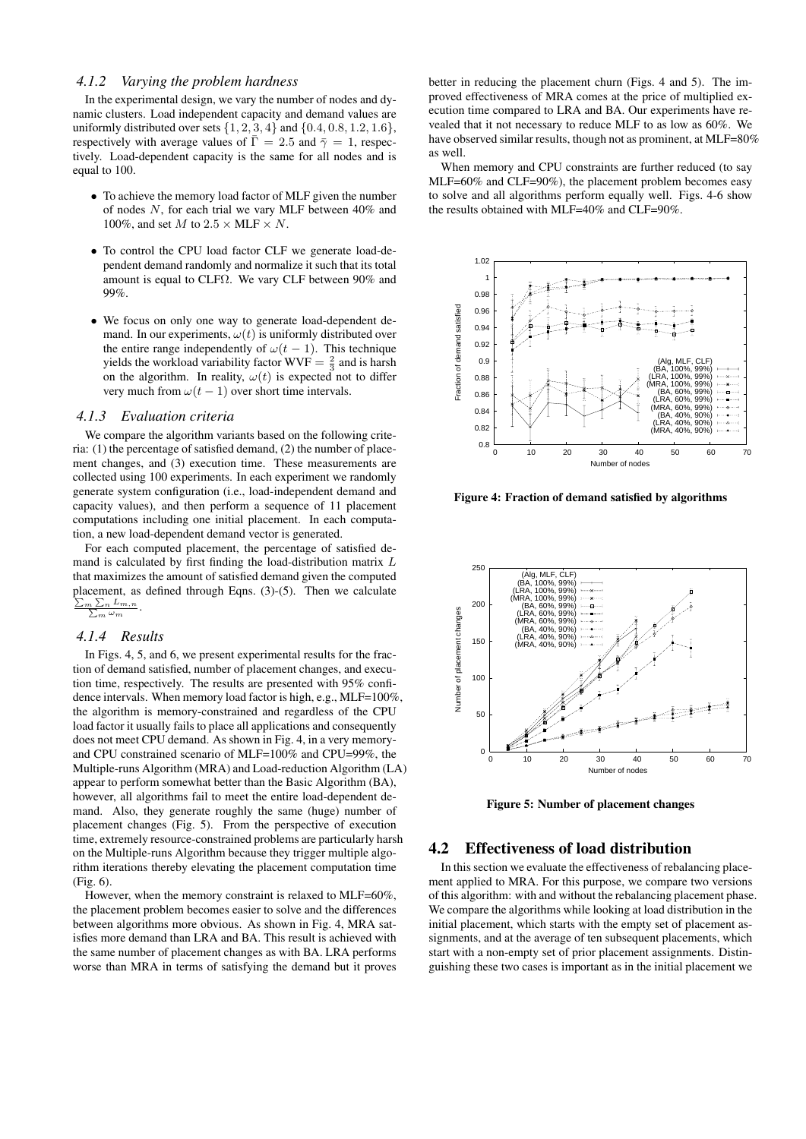#### *4.1.2 Varying the problem hardness*

In the experimental design, we vary the number of nodes and dynamic clusters. Load independent capacity and demand values are uniformly distributed over sets  $\{1, 2, 3, 4\}$  and  $\{0.4, 0.8, 1.2, 1.6\}$ , respectively with average values of  $\bar{\Gamma} = 2.5$  and  $\bar{\gamma} = 1$ , respectively. Load-dependent capacity is the same for all nodes and is equal to 100.

- To achieve the memory load factor of MLF given the number of nodes N, for each trial we vary MLF between 40% and 100%, and set  $M$  to  $2.5 \times \text{MLF} \times N$ .
- To control the CPU load factor CLF we generate load-dependent demand randomly and normalize it such that its total amount is equal to CLFΩ. We vary CLF between 90% and 99%.
- We focus on only one way to generate load-dependent demand. In our experiments,  $\omega(t)$  is uniformly distributed over the entire range independently of  $\omega(t-1)$ . This technique yields the workload variability factor  $WVF = \frac{2}{3}$  and is harsh on the algorithm. In reality,  $\omega(t)$  is expected not to differ very much from  $\omega(t-1)$  over short time intervals.

#### *4.1.3 Evaluation criteria*

We compare the algorithm variants based on the following criteria: (1) the percentage of satisfied demand, (2) the number of placement changes, and (3) execution time. These measurements are collected using 100 experiments. In each experiment we randomly generate system configuration (i.e., load-independent demand and capacity values), and then perform a sequence of 11 placement computations including one initial placement. In each computation, a new load-dependent demand vector is generated.

For each computed placement, the percentage of satisfied demand is calculated by first finding the load-distribution matrix L that maximizes the amount of satisfied demand given the computed placement, as defined through Eqns. (3)-(5). Then we calculate  $\Sigma$ m  $\frac{\sum_{n} L_{m,n}}{\sum_{m} \omega_m}.$  $\overline{\omega_m}$ 

#### *4.1.4 Results*

In Figs. 4, 5, and 6, we present experimental results for the fraction of demand satisfied, number of placement changes, and execution time, respectively. The results are presented with 95% confidence intervals. When memory load factor is high, e.g., MLF=100%, the algorithm is memory-constrained and regardless of the CPU load factor it usually fails to place all applications and consequently does not meet CPU demand. As shown in Fig. 4, in a very memoryand CPU constrained scenario of MLF=100% and CPU=99%, the Multiple-runs Algorithm (MRA) and Load-reduction Algorithm (LA) appear to perform somewhat better than the Basic Algorithm (BA), however, all algorithms fail to meet the entire load-dependent demand. Also, they generate roughly the same (huge) number of placement changes (Fig. 5). From the perspective of execution time, extremely resource-constrained problems are particularly harsh on the Multiple-runs Algorithm because they trigger multiple algorithm iterations thereby elevating the placement computation time (Fig. 6).

However, when the memory constraint is relaxed to MLF=60%, the placement problem becomes easier to solve and the differences between algorithms more obvious. As shown in Fig. 4, MRA satisfies more demand than LRA and BA. This result is achieved with the same number of placement changes as with BA. LRA performs worse than MRA in terms of satisfying the demand but it proves

better in reducing the placement churn (Figs. 4 and 5). The improved effectiveness of MRA comes at the price of multiplied execution time compared to LRA and BA. Our experiments have revealed that it not necessary to reduce MLF to as low as 60%. We have observed similar results, though not as prominent, at MLF=80% as well.

When memory and CPU constraints are further reduced (to say MLF=60% and CLF=90%), the placement problem becomes easy to solve and all algorithms perform equally well. Figs. 4-6 show the results obtained with MLF=40% and CLF=90%.



Figure 4: Fraction of demand satisfied by algorithms



Figure 5: Number of placement changes

### 4.2 Effectiveness of load distribution

In this section we evaluate the effectiveness of rebalancing placement applied to MRA. For this purpose, we compare two versions of this algorithm: with and without the rebalancing placement phase. We compare the algorithms while looking at load distribution in the initial placement, which starts with the empty set of placement assignments, and at the average of ten subsequent placements, which start with a non-empty set of prior placement assignments. Distinguishing these two cases is important as in the initial placement we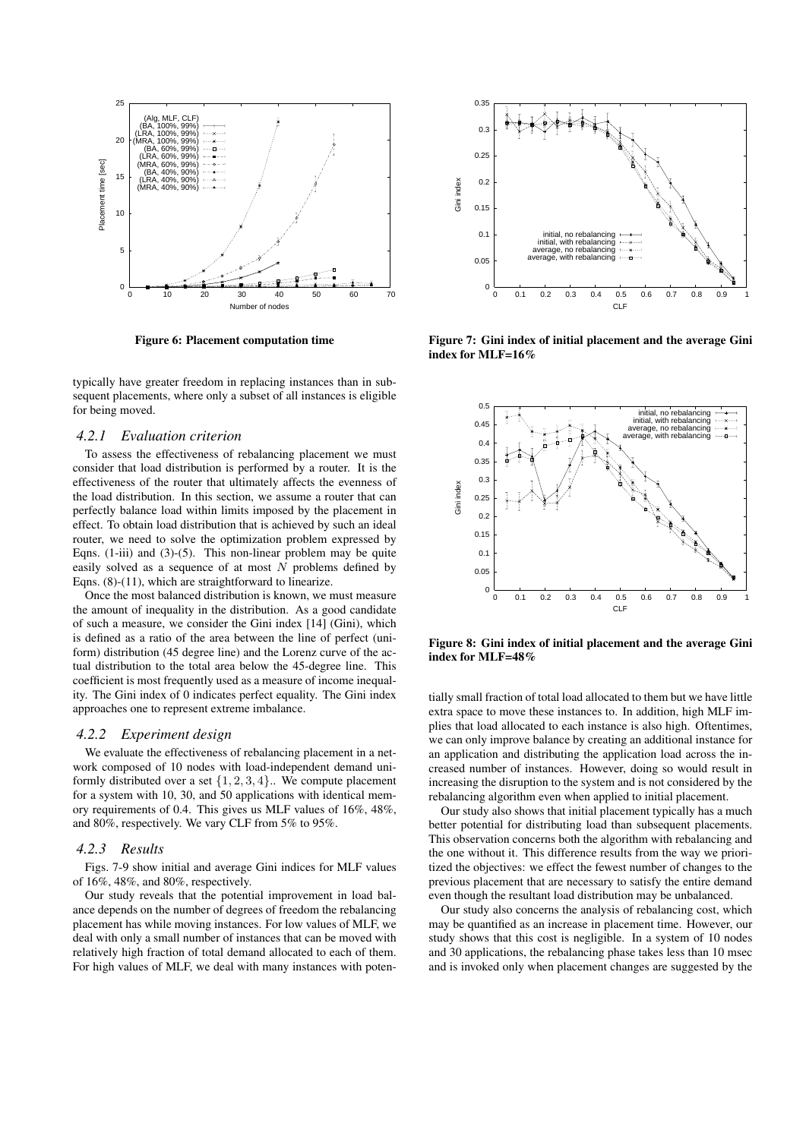

Figure 6: Placement computation time

typically have greater freedom in replacing instances than in subsequent placements, where only a subset of all instances is eligible for being moved.

#### *4.2.1 Evaluation criterion*

To assess the effectiveness of rebalancing placement we must consider that load distribution is performed by a router. It is the effectiveness of the router that ultimately affects the evenness of the load distribution. In this section, we assume a router that can perfectly balance load within limits imposed by the placement in effect. To obtain load distribution that is achieved by such an ideal router, we need to solve the optimization problem expressed by Eqns. (1-iii) and (3)-(5). This non-linear problem may be quite easily solved as a sequence of at most  $N$  problems defined by Eqns. (8)-(11), which are straightforward to linearize.

Once the most balanced distribution is known, we must measure the amount of inequality in the distribution. As a good candidate of such a measure, we consider the Gini index [14] (Gini), which is defined as a ratio of the area between the line of perfect (uniform) distribution (45 degree line) and the Lorenz curve of the actual distribution to the total area below the 45-degree line. This coefficient is most frequently used as a measure of income inequality. The Gini index of 0 indicates perfect equality. The Gini index approaches one to represent extreme imbalance.

#### *4.2.2 Experiment design*

We evaluate the effectiveness of rebalancing placement in a network composed of 10 nodes with load-independent demand uniformly distributed over a set  $\{1, 2, 3, 4\}$ .. We compute placement for a system with 10, 30, and 50 applications with identical memory requirements of 0.4. This gives us MLF values of 16%, 48%, and 80%, respectively. We vary CLF from 5% to 95%.

#### *4.2.3 Results*

Figs. 7-9 show initial and average Gini indices for MLF values of 16%, 48%, and 80%, respectively.

Our study reveals that the potential improvement in load balance depends on the number of degrees of freedom the rebalancing placement has while moving instances. For low values of MLF, we deal with only a small number of instances that can be moved with relatively high fraction of total demand allocated to each of them. For high values of MLF, we deal with many instances with poten-



Figure 7: Gini index of initial placement and the average Gini index for MLF=16%



Figure 8: Gini index of initial placement and the average Gini index for MLF=48%

tially small fraction of total load allocated to them but we have little extra space to move these instances to. In addition, high MLF implies that load allocated to each instance is also high. Oftentimes, we can only improve balance by creating an additional instance for an application and distributing the application load across the increased number of instances. However, doing so would result in increasing the disruption to the system and is not considered by the rebalancing algorithm even when applied to initial placement.

Our study also shows that initial placement typically has a much better potential for distributing load than subsequent placements. This observation concerns both the algorithm with rebalancing and the one without it. This difference results from the way we prioritized the objectives: we effect the fewest number of changes to the previous placement that are necessary to satisfy the entire demand even though the resultant load distribution may be unbalanced.

Our study also concerns the analysis of rebalancing cost, which may be quantified as an increase in placement time. However, our study shows that this cost is negligible. In a system of 10 nodes and 30 applications, the rebalancing phase takes less than 10 msec and is invoked only when placement changes are suggested by the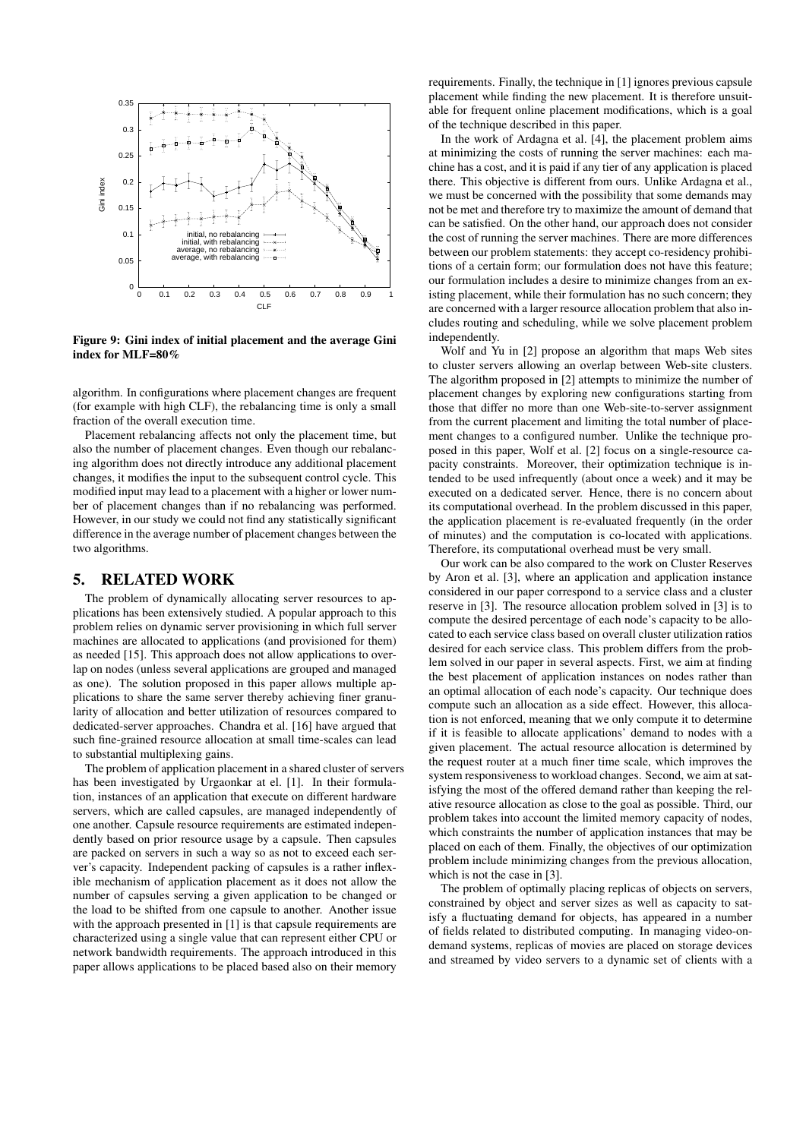

Figure 9: Gini index of initial placement and the average Gini index for MLF=80%

algorithm. In configurations where placement changes are frequent (for example with high CLF), the rebalancing time is only a small fraction of the overall execution time.

Placement rebalancing affects not only the placement time, but also the number of placement changes. Even though our rebalancing algorithm does not directly introduce any additional placement changes, it modifies the input to the subsequent control cycle. This modified input may lead to a placement with a higher or lower number of placement changes than if no rebalancing was performed. However, in our study we could not find any statistically significant difference in the average number of placement changes between the two algorithms.

# 5. RELATED WORK

The problem of dynamically allocating server resources to applications has been extensively studied. A popular approach to this problem relies on dynamic server provisioning in which full server machines are allocated to applications (and provisioned for them) as needed [15]. This approach does not allow applications to overlap on nodes (unless several applications are grouped and managed as one). The solution proposed in this paper allows multiple applications to share the same server thereby achieving finer granularity of allocation and better utilization of resources compared to dedicated-server approaches. Chandra et al. [16] have argued that such fine-grained resource allocation at small time-scales can lead to substantial multiplexing gains.

The problem of application placement in a shared cluster of servers has been investigated by Urgaonkar at el. [1]. In their formulation, instances of an application that execute on different hardware servers, which are called capsules, are managed independently of one another. Capsule resource requirements are estimated independently based on prior resource usage by a capsule. Then capsules are packed on servers in such a way so as not to exceed each server's capacity. Independent packing of capsules is a rather inflexible mechanism of application placement as it does not allow the number of capsules serving a given application to be changed or the load to be shifted from one capsule to another. Another issue with the approach presented in [1] is that capsule requirements are characterized using a single value that can represent either CPU or network bandwidth requirements. The approach introduced in this paper allows applications to be placed based also on their memory

requirements. Finally, the technique in [1] ignores previous capsule placement while finding the new placement. It is therefore unsuitable for frequent online placement modifications, which is a goal of the technique described in this paper.

In the work of Ardagna et al. [4], the placement problem aims at minimizing the costs of running the server machines: each machine has a cost, and it is paid if any tier of any application is placed there. This objective is different from ours. Unlike Ardagna et al., we must be concerned with the possibility that some demands may not be met and therefore try to maximize the amount of demand that can be satisfied. On the other hand, our approach does not consider the cost of running the server machines. There are more differences between our problem statements: they accept co-residency prohibitions of a certain form; our formulation does not have this feature; our formulation includes a desire to minimize changes from an existing placement, while their formulation has no such concern; they are concerned with a larger resource allocation problem that also includes routing and scheduling, while we solve placement problem independently.

Wolf and Yu in [2] propose an algorithm that maps Web sites to cluster servers allowing an overlap between Web-site clusters. The algorithm proposed in [2] attempts to minimize the number of placement changes by exploring new configurations starting from those that differ no more than one Web-site-to-server assignment from the current placement and limiting the total number of placement changes to a configured number. Unlike the technique proposed in this paper, Wolf et al. [2] focus on a single-resource capacity constraints. Moreover, their optimization technique is intended to be used infrequently (about once a week) and it may be executed on a dedicated server. Hence, there is no concern about its computational overhead. In the problem discussed in this paper, the application placement is re-evaluated frequently (in the order of minutes) and the computation is co-located with applications. Therefore, its computational overhead must be very small.

Our work can be also compared to the work on Cluster Reserves by Aron et al. [3], where an application and application instance considered in our paper correspond to a service class and a cluster reserve in [3]. The resource allocation problem solved in [3] is to compute the desired percentage of each node's capacity to be allocated to each service class based on overall cluster utilization ratios desired for each service class. This problem differs from the problem solved in our paper in several aspects. First, we aim at finding the best placement of application instances on nodes rather than an optimal allocation of each node's capacity. Our technique does compute such an allocation as a side effect. However, this allocation is not enforced, meaning that we only compute it to determine if it is feasible to allocate applications' demand to nodes with a given placement. The actual resource allocation is determined by the request router at a much finer time scale, which improves the system responsiveness to workload changes. Second, we aim at satisfying the most of the offered demand rather than keeping the relative resource allocation as close to the goal as possible. Third, our problem takes into account the limited memory capacity of nodes, which constraints the number of application instances that may be placed on each of them. Finally, the objectives of our optimization problem include minimizing changes from the previous allocation, which is not the case in [3].

The problem of optimally placing replicas of objects on servers, constrained by object and server sizes as well as capacity to satisfy a fluctuating demand for objects, has appeared in a number of fields related to distributed computing. In managing video-ondemand systems, replicas of movies are placed on storage devices and streamed by video servers to a dynamic set of clients with a